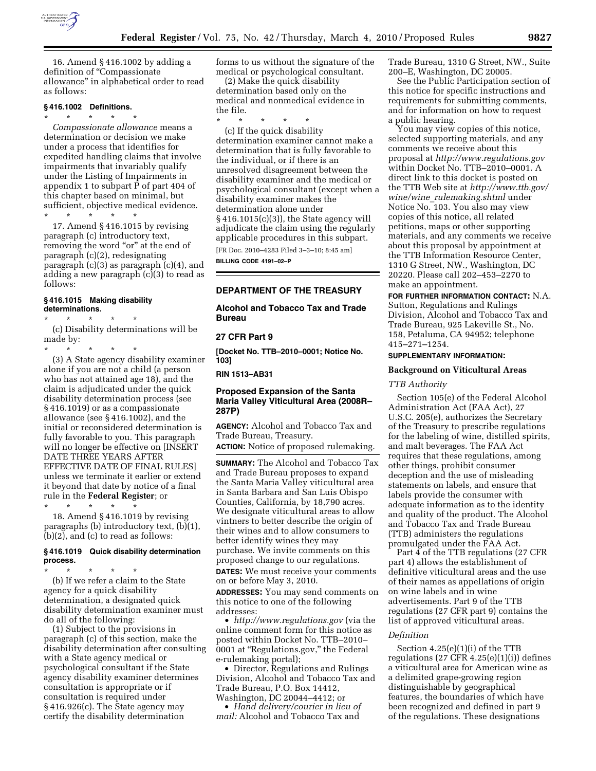

16. Amend § 416.1002 by adding a definition of "Compassionate" allowance'' in alphabetical order to read as follows:

# **§ 416.1002 Definitions.**

\* \* \* \* \* *Compassionate allowance* means a determination or decision we make under a process that identifies for expedited handling claims that involve impairments that invariably qualify under the Listing of Impairments in appendix 1 to subpart P of part 404 of this chapter based on minimal, but sufficient, objective medical evidence.

\* \* \* \* \*

17. Amend § 416.1015 by revising paragraph (c) introductory text, removing the word "or" at the end of paragraph (c)(2), redesignating paragraph (c)(3) as paragraph (c)(4), and adding a new paragraph (c)(3) to read as follows:

#### **§ 416.1015 Making disability determinations.**

\* \* \* \* \*

(c) Disability determinations will be made by:

\* \* \* \* \* (3) A State agency disability examiner alone if you are not a child (a person who has not attained age 18), and the claim is adjudicated under the quick disability determination process (see § 416.1019) or as a compassionate allowance (see § 416.1002), and the initial or reconsidered determination is fully favorable to you. This paragraph will no longer be effective on [INSERT DATE THREE YEARS AFTER EFFECTIVE DATE OF FINAL RULES] unless we terminate it earlier or extend it beyond that date by notice of a final rule in the **Federal Register**; or

\* \* \* \* \* 18. Amend § 416.1019 by revising paragraphs (b) introductory text, (b)(1), (b)(2), and (c) to read as follows:

# **§ 416.1019 Quick disability determination process.**

\* \* \* \* \* (b) If we refer a claim to the State agency for a quick disability determination, a designated quick disability determination examiner must do all of the following:

(1) Subject to the provisions in paragraph (c) of this section, make the disability determination after consulting with a State agency medical or psychological consultant if the State agency disability examiner determines consultation is appropriate or if consultation is required under § 416.926(c). The State agency may certify the disability determination

forms to us without the signature of the medical or psychological consultant.

(2) Make the quick disability determination based only on the medical and nonmedical evidence in the file.

\* \* \* \* \* (c) If the quick disability determination examiner cannot make a determination that is fully favorable to the individual, or if there is an unresolved disagreement between the disability examiner and the medical or psychological consultant (except when a disability examiner makes the determination alone under § 416.1015(c)(3)), the State agency will adjudicate the claim using the regularly applicable procedures in this subpart.

[FR Doc. 2010–4283 Filed 3–3–10; 8:45 am] **BILLING CODE 4191–02–P** 

# **DEPARTMENT OF THE TREASURY**

**Alcohol and Tobacco Tax and Trade Bureau** 

# **27 CFR Part 9**

**[Docket No. TTB–2010–0001; Notice No. 103]** 

**RIN 1513–AB31** 

# **Proposed Expansion of the Santa Maria Valley Viticultural Area (2008R– 287P)**

**AGENCY:** Alcohol and Tobacco Tax and Trade Bureau, Treasury.

**ACTION:** Notice of proposed rulemaking.

**SUMMARY:** The Alcohol and Tobacco Tax and Trade Bureau proposes to expand the Santa Maria Valley viticultural area in Santa Barbara and San Luis Obispo Counties, California, by 18,790 acres. We designate viticultural areas to allow vintners to better describe the origin of their wines and to allow consumers to better identify wines they may purchase. We invite comments on this proposed change to our regulations. **DATES:** We must receive your comments on or before May 3, 2010. **ADDRESSES:** You may send comments on this notice to one of the following addresses:

• *http://www.regulations.gov* (via the online comment form for this notice as posted within Docket No. TTB–2010– 0001 at ''Regulations.gov,'' the Federal e-rulemaking portal);

• Director, Regulations and Rulings Division, Alcohol and Tobacco Tax and Trade Bureau, P.O. Box 14412, Washington, DC 20044–4412; or

• *Hand delivery/courier in lieu of mail:* Alcohol and Tobacco Tax and

Trade Bureau, 1310 G Street, NW., Suite 200–E, Washington, DC 20005.

See the Public Participation section of this notice for specific instructions and requirements for submitting comments, and for information on how to request a public hearing.

You may view copies of this notice, selected supporting materials, and any comments we receive about this proposal at *http://www.regulations.gov*  within Docket No. TTB–2010–0001. A direct link to this docket is posted on the TTB Web site at *http://www.ttb.gov/ wine/wine*\_*rulemaking.shtml* under Notice No. 103. You also may view copies of this notice, all related petitions, maps or other supporting materials, and any comments we receive about this proposal by appointment at the TTB Information Resource Center, 1310 G Street, NW., Washington, DC 20220. Please call 202–453–2270 to make an appointment.

**FOR FURTHER INFORMATION CONTACT:** N.A. Sutton, Regulations and Rulings Division, Alcohol and Tobacco Tax and Trade Bureau, 925 Lakeville St., No. 158, Petaluma, CA 94952; telephone 415–271–1254.

# **SUPPLEMENTARY INFORMATION:**

#### **Background on Viticultural Areas**

*TTB Authority* 

Section 105(e) of the Federal Alcohol Administration Act (FAA Act), 27 U.S.C. 205(e), authorizes the Secretary of the Treasury to prescribe regulations for the labeling of wine, distilled spirits, and malt beverages. The FAA Act requires that these regulations, among other things, prohibit consumer deception and the use of misleading statements on labels, and ensure that labels provide the consumer with adequate information as to the identity and quality of the product. The Alcohol and Tobacco Tax and Trade Bureau (TTB) administers the regulations promulgated under the FAA Act.

Part 4 of the TTB regulations (27 CFR part 4) allows the establishment of definitive viticultural areas and the use of their names as appellations of origin on wine labels and in wine advertisements. Part 9 of the TTB regulations (27 CFR part 9) contains the list of approved viticultural areas.

#### *Definition*

Section 4.25(e)(1)(i) of the TTB regulations (27 CFR 4.25(e)(1)(i)) defines a viticultural area for American wine as a delimited grape-growing region distinguishable by geographical features, the boundaries of which have been recognized and defined in part 9 of the regulations. These designations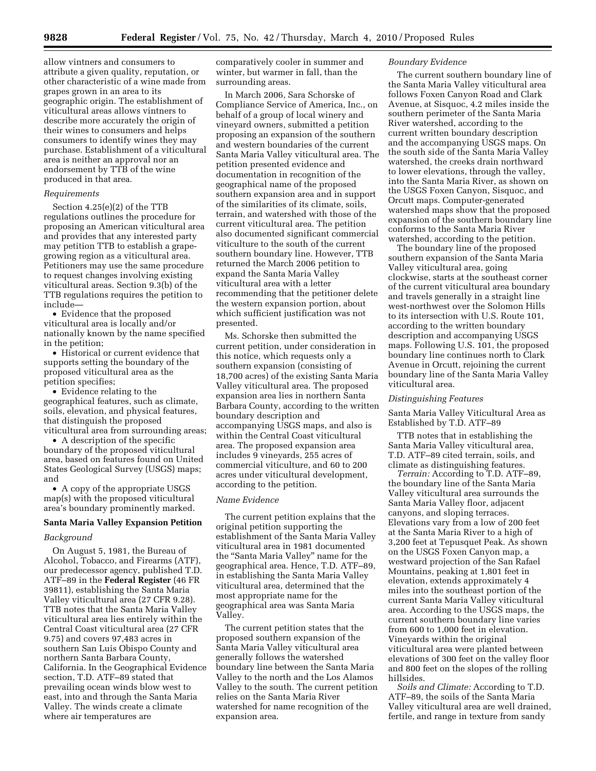allow vintners and consumers to attribute a given quality, reputation, or other characteristic of a wine made from grapes grown in an area to its geographic origin. The establishment of viticultural areas allows vintners to describe more accurately the origin of their wines to consumers and helps consumers to identify wines they may purchase. Establishment of a viticultural area is neither an approval nor an endorsement by TTB of the wine produced in that area.

# *Requirements*

Section 4.25(e)(2) of the TTB regulations outlines the procedure for proposing an American viticultural area and provides that any interested party may petition TTB to establish a grapegrowing region as a viticultural area. Petitioners may use the same procedure to request changes involving existing viticultural areas. Section 9.3(b) of the TTB regulations requires the petition to include—

• Evidence that the proposed viticultural area is locally and/or nationally known by the name specified in the petition;

• Historical or current evidence that supports setting the boundary of the proposed viticultural area as the petition specifies;

• Evidence relating to the geographical features, such as climate, soils, elevation, and physical features, that distinguish the proposed viticultural area from surrounding areas;

• A description of the specific boundary of the proposed viticultural area, based on features found on United States Geological Survey (USGS) maps; and

• A copy of the appropriate USGS map(s) with the proposed viticultural area's boundary prominently marked.

# **Santa Maria Valley Expansion Petition**

## *Background*

On August 5, 1981, the Bureau of Alcohol, Tobacco, and Firearms (ATF), our predecessor agency, published T.D. ATF–89 in the **Federal Register** (46 FR 39811), establishing the Santa Maria Valley viticultural area (27 CFR 9.28). TTB notes that the Santa Maria Valley viticultural area lies entirely within the Central Coast viticultural area (27 CFR 9.75) and covers 97,483 acres in southern San Luis Obispo County and northern Santa Barbara County, California. In the Geographical Evidence section, T.D. ATF–89 stated that prevailing ocean winds blow west to east, into and through the Santa Maria Valley. The winds create a climate where air temperatures are

comparatively cooler in summer and winter, but warmer in fall, than the surrounding areas.

In March 2006, Sara Schorske of Compliance Service of America, Inc., on behalf of a group of local winery and vineyard owners, submitted a petition proposing an expansion of the southern and western boundaries of the current Santa Maria Valley viticultural area. The petition presented evidence and documentation in recognition of the geographical name of the proposed southern expansion area and in support of the similarities of its climate, soils, terrain, and watershed with those of the current viticultural area. The petition also documented significant commercial viticulture to the south of the current southern boundary line. However, TTB returned the March 2006 petition to expand the Santa Maria Valley viticultural area with a letter recommending that the petitioner delete the western expansion portion, about which sufficient justification was not presented.

Ms. Schorske then submitted the current petition, under consideration in this notice, which requests only a southern expansion (consisting of 18,700 acres) of the existing Santa Maria Valley viticultural area. The proposed expansion area lies in northern Santa Barbara County, according to the written boundary description and accompanying USGS maps, and also is within the Central Coast viticultural area. The proposed expansion area includes 9 vineyards, 255 acres of commercial viticulture, and 60 to 200 acres under viticultural development, according to the petition.

## *Name Evidence*

The current petition explains that the original petition supporting the establishment of the Santa Maria Valley viticultural area in 1981 documented the ''Santa Maria Valley'' name for the geographical area. Hence, T.D. ATF–89, in establishing the Santa Maria Valley viticultural area, determined that the most appropriate name for the geographical area was Santa Maria Valley.

The current petition states that the proposed southern expansion of the Santa Maria Valley viticultural area generally follows the watershed boundary line between the Santa Maria Valley to the north and the Los Alamos Valley to the south. The current petition relies on the Santa Maria River watershed for name recognition of the expansion area.

## *Boundary Evidence*

The current southern boundary line of the Santa Maria Valley viticultural area follows Foxen Canyon Road and Clark Avenue, at Sisquoc, 4.2 miles inside the southern perimeter of the Santa Maria River watershed, according to the current written boundary description and the accompanying USGS maps. On the south side of the Santa Maria Valley watershed, the creeks drain northward to lower elevations, through the valley, into the Santa Maria River, as shown on the USGS Foxen Canyon, Sisquoc, and Orcutt maps. Computer-generated watershed maps show that the proposed expansion of the southern boundary line conforms to the Santa Maria River watershed, according to the petition.

The boundary line of the proposed southern expansion of the Santa Maria Valley viticultural area, going clockwise, starts at the southeast corner of the current viticultural area boundary and travels generally in a straight line west-northwest over the Solomon Hills to its intersection with U.S. Route 101, according to the written boundary description and accompanying USGS maps. Following U.S. 101, the proposed boundary line continues north to Clark Avenue in Orcutt, rejoining the current boundary line of the Santa Maria Valley viticultural area.

# *Distinguishing Features*

Santa Maria Valley Viticultural Area as Established by T.D. ATF–89

TTB notes that in establishing the Santa Maria Valley viticultural area, T.D. ATF–89 cited terrain, soils, and climate as distinguishing features.

*Terrain:* According to T.D. ATF–89, the boundary line of the Santa Maria Valley viticultural area surrounds the Santa Maria Valley floor, adjacent canyons, and sloping terraces. Elevations vary from a low of 200 feet at the Santa Maria River to a high of 3,200 feet at Tepusquet Peak. As shown on the USGS Foxen Canyon map, a westward projection of the San Rafael Mountains, peaking at 1,801 feet in elevation, extends approximately 4 miles into the southeast portion of the current Santa Maria Valley viticultural area. According to the USGS maps, the current southern boundary line varies from 600 to 1,000 feet in elevation. Vineyards within the original viticultural area were planted between elevations of 300 feet on the valley floor and 800 feet on the slopes of the rolling hillsides.

*Soils and Climate:* According to T.D. ATF–89, the soils of the Santa Maria Valley viticultural area are well drained, fertile, and range in texture from sandy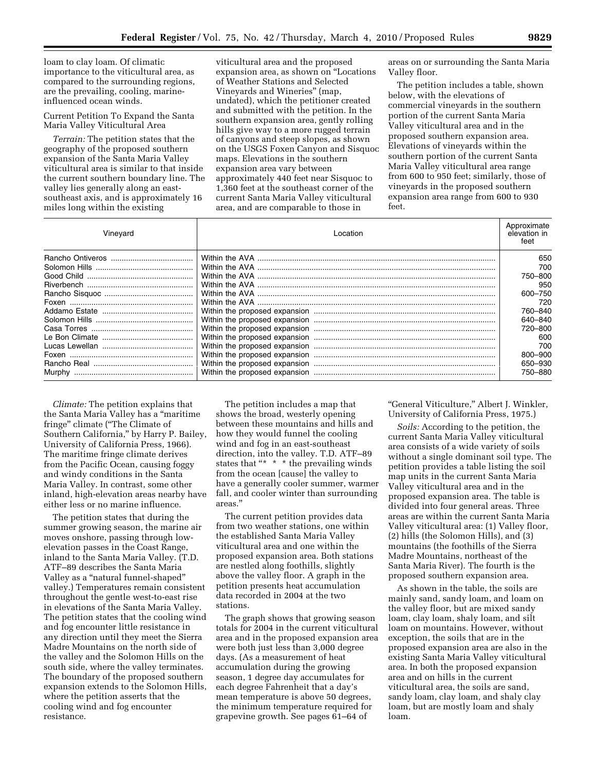loam to clay loam. Of climatic importance to the viticultural area, as compared to the surrounding regions, are the prevailing, cooling, marineinfluenced ocean winds.

Current Petition To Expand the Santa Maria Valley Viticultural Area

*Terrain:* The petition states that the geography of the proposed southern expansion of the Santa Maria Valley viticultural area is similar to that inside the current southern boundary line. The valley lies generally along an eastsoutheast axis, and is approximately 16 miles long within the existing

viticultural area and the proposed expansion area, as shown on ''Locations of Weather Stations and Selected Vineyards and Wineries'' (map, undated), which the petitioner created and submitted with the petition. In the southern expansion area, gently rolling hills give way to a more rugged terrain of canyons and steep slopes, as shown on the USGS Foxen Canyon and Sisquoc maps. Elevations in the southern expansion area vary between approximately 440 feet near Sisquoc to 1,360 feet at the southeast corner of the current Santa Maria Valley viticultural area, and are comparable to those in

areas on or surrounding the Santa Maria Valley floor.

The petition includes a table, shown below, with the elevations of commercial vineyards in the southern portion of the current Santa Maria Valley viticultural area and in the proposed southern expansion area. Elevations of vineyards within the southern portion of the current Santa Maria Valley viticultural area range from 600 to 950 feet; similarly, those of vineyards in the proposed southern expansion area range from 600 to 930 feet.

| Vineyard | Location | Approximate<br>elevation in<br>feet |
|----------|----------|-------------------------------------|
|          |          | 650                                 |
|          |          | 700                                 |
|          |          | 750–800                             |
|          |          | 950                                 |
|          |          | 600-750                             |
|          |          | 720                                 |
|          |          | 760–840                             |
|          |          | 640-840                             |
|          |          | 720-800                             |
|          |          | 600                                 |
|          |          | 700                                 |
|          |          | 800-900                             |
|          |          | 650–930                             |
| Murphy   |          | 750–880                             |

*Climate:* The petition explains that the Santa Maria Valley has a ''maritime fringe'' climate (''The Climate of Southern California,'' by Harry P. Bailey, University of California Press, 1966). The maritime fringe climate derives from the Pacific Ocean, causing foggy and windy conditions in the Santa Maria Valley. In contrast, some other inland, high-elevation areas nearby have either less or no marine influence.

The petition states that during the summer growing season, the marine air moves onshore, passing through lowelevation passes in the Coast Range, inland to the Santa Maria Valley. (T.D. ATF–89 describes the Santa Maria Valley as a ''natural funnel-shaped'' valley.) Temperatures remain consistent throughout the gentle west-to-east rise in elevations of the Santa Maria Valley. The petition states that the cooling wind and fog encounter little resistance in any direction until they meet the Sierra Madre Mountains on the north side of the valley and the Solomon Hills on the south side, where the valley terminates. The boundary of the proposed southern expansion extends to the Solomon Hills, where the petition asserts that the cooling wind and fog encounter resistance.

The petition includes a map that shows the broad, westerly opening between these mountains and hills and how they would funnel the cooling wind and fog in an east-southeast direction, into the valley. T.D. ATF–89 states that "\* \* \* the prevailing winds from the ocean [cause] the valley to have a generally cooler summer, warmer fall, and cooler winter than surrounding areas.''

The current petition provides data from two weather stations, one within the established Santa Maria Valley viticultural area and one within the proposed expansion area. Both stations are nestled along foothills, slightly above the valley floor. A graph in the petition presents heat accumulation data recorded in 2004 at the two stations.

The graph shows that growing season totals for 2004 in the current viticultural area and in the proposed expansion area were both just less than 3,000 degree days. (As a measurement of heat accumulation during the growing season, 1 degree day accumulates for each degree Fahrenheit that a day's mean temperature is above 50 degrees, the minimum temperature required for grapevine growth. See pages 61–64 of

"General Viticulture," Albert J. Winkler, University of California Press, 1975.)

*Soils:* According to the petition, the current Santa Maria Valley viticultural area consists of a wide variety of soils without a single dominant soil type. The petition provides a table listing the soil map units in the current Santa Maria Valley viticultural area and in the proposed expansion area. The table is divided into four general areas. Three areas are within the current Santa Maria Valley viticultural area: (1) Valley floor, (2) hills (the Solomon Hills), and (3) mountains (the foothills of the Sierra Madre Mountains, northeast of the Santa Maria River). The fourth is the proposed southern expansion area.

As shown in the table, the soils are mainly sand, sandy loam, and loam on the valley floor, but are mixed sandy loam, clay loam, shaly loam, and silt loam on mountains. However, without exception, the soils that are in the proposed expansion area are also in the existing Santa Maria Valley viticultural area. In both the proposed expansion area and on hills in the current viticultural area, the soils are sand, sandy loam, clay loam, and shaly clay loam, but are mostly loam and shaly loam.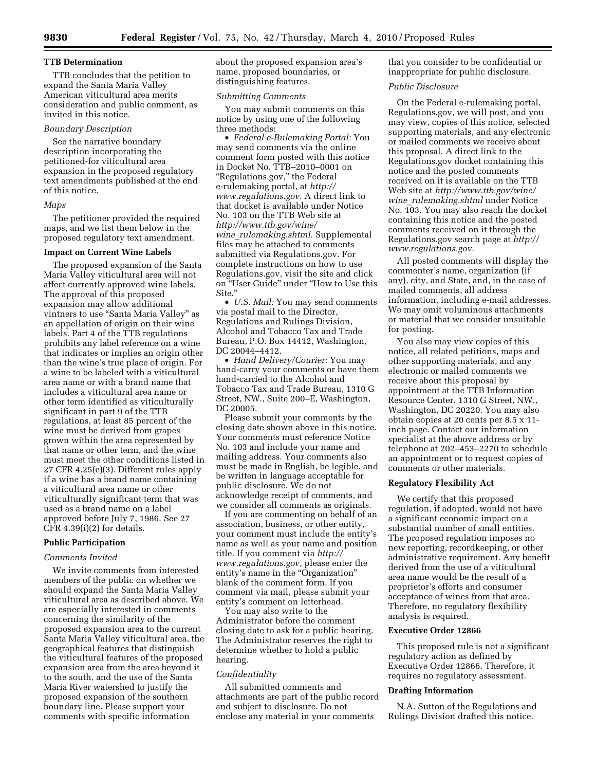# **TTB Determination**

TTB concludes that the petition to expand the Santa Maria Valley American viticultural area merits consideration and public comment, as invited in this notice.

# *Boundary Description*

See the narrative boundary description incorporating the petitioned-for viticultural area expansion in the proposed regulatory text amendments published at the end of this notice.

#### *Maps*

The petitioner provided the required maps, and we list them below in the proposed regulatory text amendment.

# **Impact on Current Wine Labels**

The proposed expansion of the Santa Maria Valley viticultural area will not affect currently approved wine labels. The approval of this proposed expansion may allow additional vintners to use ''Santa Maria Valley'' as an appellation of origin on their wine labels. Part 4 of the TTB regulations prohibits any label reference on a wine that indicates or implies an origin other than the wine's true place of origin. For a wine to be labeled with a viticultural area name or with a brand name that includes a viticultural area name or other term identified as viticulturally significant in part 9 of the TTB regulations, at least 85 percent of the wine must be derived from grapes grown within the area represented by that name or other term, and the wine must meet the other conditions listed in 27 CFR 4.25(e)(3). Different rules apply if a wine has a brand name containing a viticultural area name or other viticulturally significant term that was used as a brand name on a label approved before July 7, 1986. See 27 CFR 4.39(i)(2) for details.

# **Public Participation**

#### *Comments Invited*

We invite comments from interested members of the public on whether we should expand the Santa Maria Valley viticultural area as described above. We are especially interested in comments concerning the similarity of the proposed expansion area to the current Santa Maria Valley viticultural area, the geographical features that distinguish the viticultural features of the proposed expansion area from the area beyond it to the south, and the use of the Santa Maria River watershed to justify the proposed expansion of the southern boundary line. Please support your comments with specific information

about the proposed expansion area's name, proposed boundaries, or distinguishing features.

#### *Submitting Comments*

You may submit comments on this notice by using one of the following three methods:

• *Federal e-Rulemaking Portal:* You may send comments via the online comment form posted with this notice in Docket No. TTB–2010–0001 on ''Regulations.gov,'' the Federal e-rulemaking portal, at *http:// www.regulations.gov.* A direct link to that docket is available under Notice No. 103 on the TTB Web site at *http://www.ttb.gov/wine/ wine*\_*rulemaking.shtml.* Supplemental files may be attached to comments submitted via Regulations.gov. For complete instructions on how to use Regulations.gov, visit the site and click on ''User Guide'' under ''How to Use this Site.''

• *U.S. Mail:* You may send comments via postal mail to the Director, Regulations and Rulings Division, Alcohol and Tobacco Tax and Trade Bureau, P.O. Box 14412, Washington, DC 20044–4412.

• *Hand Delivery/Courier:* You may hand-carry your comments or have them hand-carried to the Alcohol and Tobacco Tax and Trade Bureau, 1310 G Street, NW., Suite 200–E, Washington, DC 20005.

Please submit your comments by the closing date shown above in this notice. Your comments must reference Notice No. 103 and include your name and mailing address. Your comments also must be made in English, be legible, and be written in language acceptable for public disclosure. We do not acknowledge receipt of comments, and we consider all comments as originals.

If you are commenting on behalf of an association, business, or other entity, your comment must include the entity's name as well as your name and position title. If you comment via *http:// www.regulations.gov,* please enter the entity's name in the "Organization" blank of the comment form. If you comment via mail, please submit your entity's comment on letterhead.

You may also write to the Administrator before the comment closing date to ask for a public hearing. The Administrator reserves the right to determine whether to hold a public hearing.

#### *Confidentiality*

All submitted comments and attachments are part of the public record and subject to disclosure. Do not enclose any material in your comments

that you consider to be confidential or inappropriate for public disclosure.

# *Public Disclosure*

On the Federal e-rulemaking portal, Regulations.gov, we will post, and you may view, copies of this notice, selected supporting materials, and any electronic or mailed comments we receive about this proposal. A direct link to the Regulations.gov docket containing this notice and the posted comments received on it is available on the TTB Web site at *http://www.ttb.gov/wine/ wine*\_*rulemaking.shtml* under Notice No. 103. You may also reach the docket containing this notice and the posted comments received on it through the Regulations.gov search page at *http:// www.regulations.gov.* 

All posted comments will display the commenter's name, organization (if any), city, and State, and, in the case of mailed comments, all address information, including e-mail addresses. We may omit voluminous attachments or material that we consider unsuitable for posting.

You also may view copies of this notice, all related petitions, maps and other supporting materials, and any electronic or mailed comments we receive about this proposal by appointment at the TTB Information Resource Center, 1310 G Street, NW., Washington, DC 20220. You may also obtain copies at 20 cents per 8.5 x 11 inch page. Contact our information specialist at the above address or by telephone at 202–453–2270 to schedule an appointment or to request copies of comments or other materials.

#### **Regulatory Flexibility Act**

We certify that this proposed regulation, if adopted, would not have a significant economic impact on a substantial number of small entities. The proposed regulation imposes no new reporting, recordkeeping, or other administrative requirement. Any benefit derived from the use of a viticultural area name would be the result of a proprietor's efforts and consumer acceptance of wines from that area. Therefore, no regulatory flexibility analysis is required.

#### **Executive Order 12866**

This proposed rule is not a significant regulatory action as defined by Executive Order 12866. Therefore, it requires no regulatory assessment.

### **Drafting Information**

N.A. Sutton of the Regulations and Rulings Division drafted this notice.